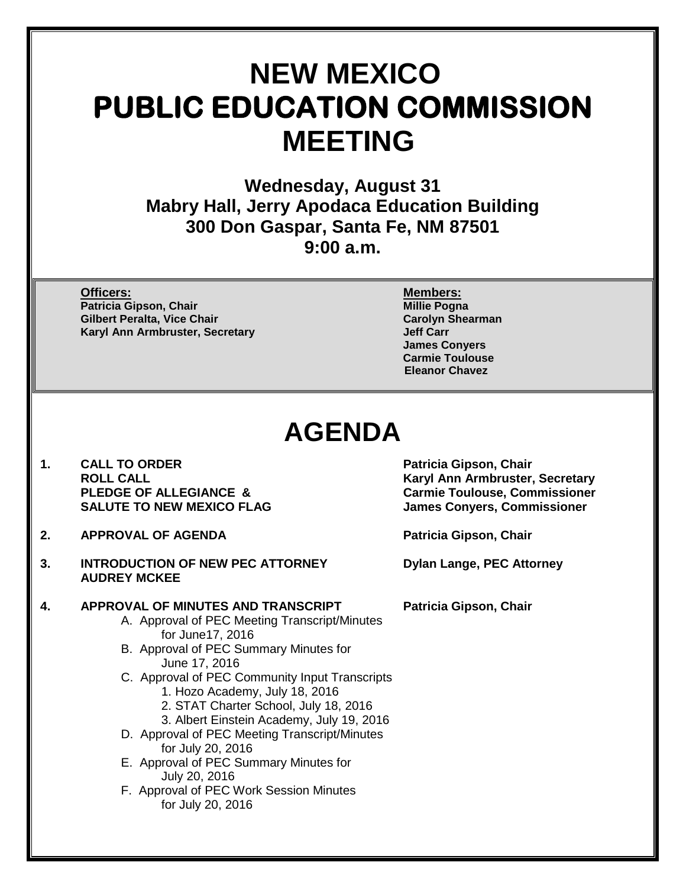# **NEW MEXICO PUBLIC EDUCATION COMMISSION MEETING**

**Wednesday, August 31 Mabry Hall, Jerry Apodaca Education Building 300 Don Gaspar, Santa Fe, NM 87501 9:00 a.m.**

**Officers: Members: Patricia Gipson, Chair Gilbert Peralta, Vice Chair Carolyn Shearman Karyl Ann Armbruster, Secretary** 

**James Conyers Carmie Toulouse Eleanor Chavez**

## **AGENDA**

- 1. CALL TO ORDER **Patricia Gipson, Chair**<br>ROLL CALL **ROUL**
- **2. APPROVAL OF AGENDA Patricia Gipson, Chair**
- **3. INTRODUCTION OF NEW PEC ATTORNEY Dylan Lange, PEC Attorney AUDREY MCKEE**

**4. APPROVAL OF MINUTES AND TRANSCRIPT Patricia Gipson, Chair**

- A. Approval of PEC Meeting Transcript/Minutes for June17, 2016
- B. Approval of PEC Summary Minutes for June 17, 2016
- C. Approval of PEC Community Input Transcripts
	- 1. Hozo Academy, July 18, 2016
	- 2. STAT Charter School, July 18, 2016
	- 3. Albert Einstein Academy, July 19, 2016
- D. Approval of PEC Meeting Transcript/Minutes for July 20, 2016
- E. Approval of PEC Summary Minutes for July 20, 2016
- F. Approval of PEC Work Session Minutes for July 20, 2016

**ROLL CALL CALL AND ROLL CALL CALL AND ROLL CALL AND RETAILLY CALL AND RETAILLY CARRY AND RETAILLY CARRY CARRY CARRY CARRY PLEDGE OF ALLEGIANCE & COMMUNISTY CARRY CARRY CARRY CARRY CARRY CARRY CARRY CARRY CARRY CARRY CARRY PLEDGE OF ALLEGIANCE & Carmie Toulouse, Commissioner**<br>
SALUTE TO NEW MEXICO FLAG SALUTE TO NEW MEXICO FLAG **James Convers, Commissioner**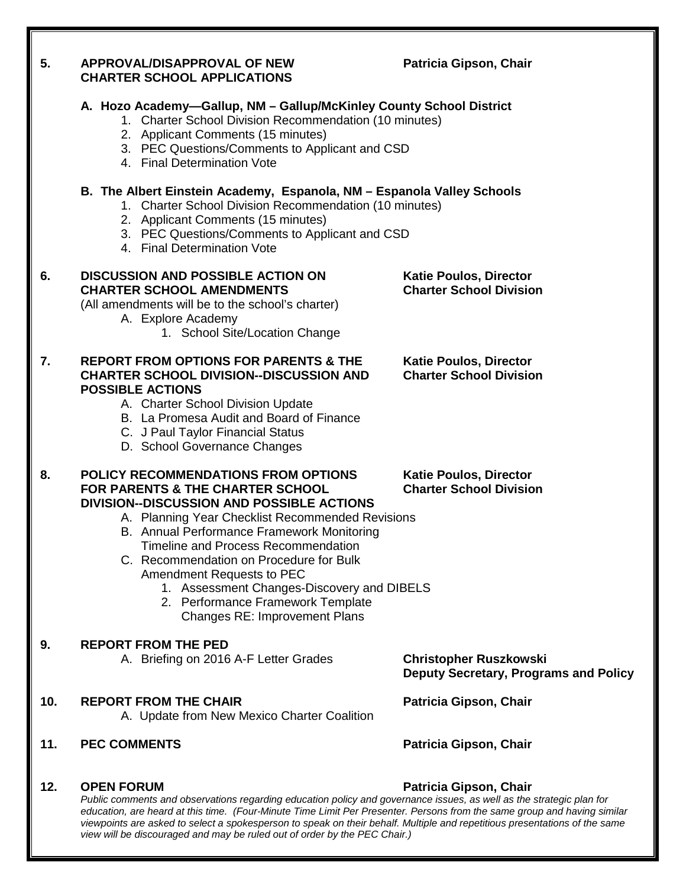| 5.  | <b>APPROVAL/DISAPPROVAL OF NEW</b><br><b>CHARTER SCHOOL APPLICATIONS</b>                                                                                                                                                                                                                                                                                                                                                                                                                                   | Patricia Gipson, Chair                                                        |
|-----|------------------------------------------------------------------------------------------------------------------------------------------------------------------------------------------------------------------------------------------------------------------------------------------------------------------------------------------------------------------------------------------------------------------------------------------------------------------------------------------------------------|-------------------------------------------------------------------------------|
|     | A. Hozo Academy-Gallup, NM - Gallup/McKinley County School District<br>1. Charter School Division Recommendation (10 minutes)<br>2. Applicant Comments (15 minutes)<br>3. PEC Questions/Comments to Applicant and CSD<br>4. Final Determination Vote                                                                                                                                                                                                                                                       |                                                                               |
|     | B. The Albert Einstein Academy, Espanola, NM - Espanola Valley Schools<br>1. Charter School Division Recommendation (10 minutes)<br>2. Applicant Comments (15 minutes)<br>3. PEC Questions/Comments to Applicant and CSD<br>4. Final Determination Vote                                                                                                                                                                                                                                                    |                                                                               |
| 6.  | <b>DISCUSSION AND POSSIBLE ACTION ON</b><br><b>CHARTER SCHOOL AMENDMENTS</b><br>(All amendments will be to the school's charter)<br>A. Explore Academy<br>1. School Site/Location Change                                                                                                                                                                                                                                                                                                                   | <b>Katie Poulos, Director</b><br><b>Charter School Division</b>               |
| 7.  | <b>REPORT FROM OPTIONS FOR PARENTS &amp; THE</b><br><b>CHARTER SCHOOL DIVISION--DISCUSSION AND</b><br><b>POSSIBLE ACTIONS</b><br>A. Charter School Division Update<br>B. La Promesa Audit and Board of Finance<br>C. J Paul Taylor Financial Status<br>D. School Governance Changes                                                                                                                                                                                                                        | <b>Katie Poulos, Director</b><br><b>Charter School Division</b>               |
| 8.  | <b>POLICY RECOMMENDATIONS FROM OPTIONS</b><br><b>FOR PARENTS &amp; THE CHARTER SCHOOL</b><br><b>DIVISION--DISCUSSION AND POSSIBLE ACTIONS</b><br>A. Planning Year Checklist Recommended Revisions<br>B. Annual Performance Framework Monitoring<br>Timeline and Process Recommendation<br>C. Recommendation on Procedure for Bulk<br>Amendment Requests to PEC<br>1. Assessment Changes-Discovery and DIBELS<br>2. Performance Framework Template<br><b>Changes RE: Improvement Plans</b>                  | <b>Katie Poulos, Director</b><br><b>Charter School Division</b>               |
| 9.  | <b>REPORT FROM THE PED</b><br>A. Briefing on 2016 A-F Letter Grades                                                                                                                                                                                                                                                                                                                                                                                                                                        | <b>Christopher Ruszkowski</b><br><b>Deputy Secretary, Programs and Policy</b> |
| 10. | <b>REPORT FROM THE CHAIR</b><br>A. Update from New Mexico Charter Coalition                                                                                                                                                                                                                                                                                                                                                                                                                                | Patricia Gipson, Chair                                                        |
| 11. | <b>PEC COMMENTS</b>                                                                                                                                                                                                                                                                                                                                                                                                                                                                                        | Patricia Gipson, Chair                                                        |
| 12. | <b>OPEN FORUM</b><br>Patricia Gipson, Chair<br>Public comments and observations regarding education policy and governance issues, as well as the strategic plan for<br>education, are heard at this time. (Four-Minute Time Limit Per Presenter. Persons from the same group and having similar<br>viewpoints are asked to select a spokesperson to speak on their behalf. Multiple and repetitious presentations of the same<br>view will be discouraged and may be ruled out of order by the PEC Chair.) |                                                                               |